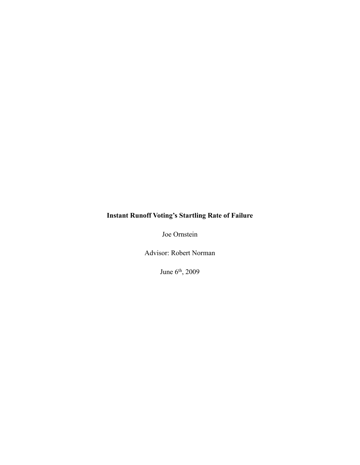# **Instant Runoff Voting's Startling Rate of Failure**

Joe Ornstein

Advisor: Robert Norman

June 6th, 2009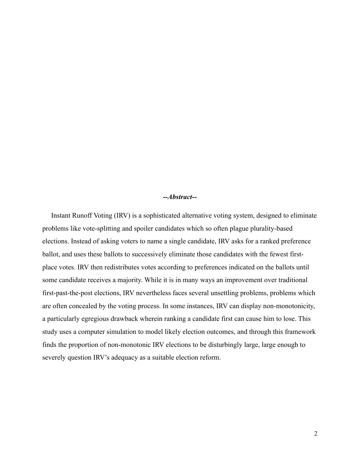## *--Abstract--*

 Instant Runoff Voting (IRV) is a sophisticated alternative voting system, designed to eliminate problems like vote-splitting and spoiler candidates which so often plague plurality-based elections. Instead of asking voters to name a single candidate, IRV asks for a ranked preference ballot, and uses these ballots to successively eliminate those candidates with the fewest firstplace votes. IRV then redistributes votes according to preferences indicated on the ballots until some candidate receives a majority. While it is in many ways an improvement over traditional first-past-the-post elections, IRV nevertheless faces several unsettling problems, problems which are often concealed by the voting process. In some instances, IRV can display non-monotonicity, a particularly egregious drawback wherein ranking a candidate first can cause him to lose. This study uses a computer simulation to model likely election outcomes, and through this framework finds the proportion of non-monotonic IRV elections to be disturbingly large, large enough to severely question IRV's adequacy as a suitable election reform.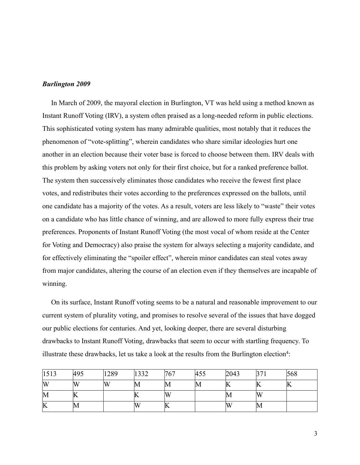#### *Burlington 2009*

 In March of 2009, the mayoral election in Burlington, VT was held using a method known as Instant Runoff Voting (IRV), a system often praised as a long-needed reform in public elections. This sophisticated voting system has many admirable qualities, most notably that it reduces the phenomenon of "vote-splitting", wherein candidates who share similar ideologies hurt one another in an election because their voter base is forced to choose between them. IRV deals with this problem by asking voters not only for their first choice, but for a ranked preference ballot. The system then successively eliminates those candidates who receive the fewest first place votes, and redistributes their votes according to the preferences expressed on the ballots, until one candidate has a majority of the votes. As a result, voters are less likely to "waste" their votes on a candidate who has little chance of winning, and are allowed to more fully express their true preferences. Proponents of Instant Runoff Voting (the most vocal of whom reside at the Center for Voting and Democracy) also praise the system for always selecting a majority candidate, and for effectively eliminating the "spoiler effect", wherein minor candidates can steal votes away from major candidates, altering the course of an election even if they themselves are incapable of winning.

 On its surface, Instant Runoff voting seems to be a natural and reasonable improvement to our current system of plurality voting, and promises to resolve several of the issues that have dogged our public elections for centuries. And yet, looking deeper, there are several disturbing drawbacks to Instant Runoff Voting, drawbacks that seem to occur with startling frequency. To illustrate these drawbacks, let us take a look at the results from the Burlington election<sup>4</sup>:

| 1513 | 495      | '289 | 1220 | 767 | 45 <sub>5</sub> | 2043 | າ <i>–</i><br>- 11 | 568 |
|------|----------|------|------|-----|-----------------|------|--------------------|-----|
| W    | <b>W</b> | W    | ШVI  | IVI | ΙM              | K    |                    |     |
| М    | ப        |      |      | W   |                 | IV.  | W                  |     |
| K    | VI       |      | w    | ≖   |                 | Ŋλ   | ШVI                |     |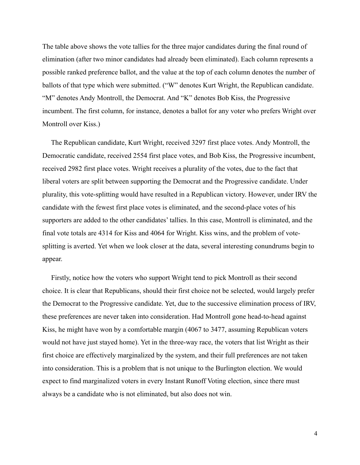The table above shows the vote tallies for the three major candidates during the final round of elimination (after two minor candidates had already been eliminated). Each column represents a possible ranked preference ballot, and the value at the top of each column denotes the number of ballots of that type which were submitted. ("W" denotes Kurt Wright, the Republican candidate. "M" denotes Andy Montroll, the Democrat. And "K" denotes Bob Kiss, the Progressive incumbent. The first column, for instance, denotes a ballot for any voter who prefers Wright over Montroll over Kiss.)

 The Republican candidate, Kurt Wright, received 3297 first place votes. Andy Montroll, the Democratic candidate, received 2554 first place votes, and Bob Kiss, the Progressive incumbent, received 2982 first place votes. Wright receives a plurality of the votes, due to the fact that liberal voters are split between supporting the Democrat and the Progressive candidate. Under plurality, this vote-splitting would have resulted in a Republican victory. However, under IRV the candidate with the fewest first place votes is eliminated, and the second-place votes of his supporters are added to the other candidates' tallies. In this case, Montroll is eliminated, and the final vote totals are 4314 for Kiss and 4064 for Wright. Kiss wins, and the problem of votesplitting is averted. Yet when we look closer at the data, several interesting conundrums begin to appear.

 Firstly, notice how the voters who support Wright tend to pick Montroll as their second choice. It is clear that Republicans, should their first choice not be selected, would largely prefer the Democrat to the Progressive candidate. Yet, due to the successive elimination process of IRV, these preferences are never taken into consideration. Had Montroll gone head-to-head against Kiss, he might have won by a comfortable margin (4067 to 3477, assuming Republican voters would not have just stayed home). Yet in the three-way race, the voters that list Wright as their first choice are effectively marginalized by the system, and their full preferences are not taken into consideration. This is a problem that is not unique to the Burlington election. We would expect to find marginalized voters in every Instant Runoff Voting election, since there must always be a candidate who is not eliminated, but also does not win.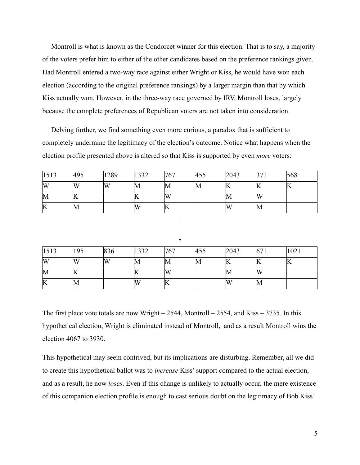Montroll is what is known as the Condorcet winner for this election. That is to say, a majority of the voters prefer him to either of the other candidates based on the preference rankings given. Had Montroll entered a two-way race against either Wright or Kiss, he would have won each election (according to the original preference rankings) by a larger margin than that by which Kiss actually won. However, in the three-way race governed by IRV, Montroll loses, largely because the complete preferences of Republican voters are not taken into consideration.

 Delving further, we find something even more curious, a paradox that is sufficient to completely undermine the legitimacy of the election's outcome. Notice what happens when the election profile presented above is altered so that Kiss is supported by even *more* voters:

| 1513 | 495  | 1289 | 1332 | 767 | 455         | 2043        | ּיִת | 568 |
|------|------|------|------|-----|-------------|-------------|------|-----|
| W    | W    | W    | IVI  | IVI | $\mathbb M$ | K           |      |     |
| М    | ப    |      |      | W   |             | M           | W    |     |
| K    | livi |      | w    |     |             | $\mathbf w$ | ШVI  |     |

| 1513 | 195 | 836 | 332         | 767    | 454<br>$HJ_{\nu}$ | 2043 | $67_1$ | 1021 |
|------|-----|-----|-------------|--------|-------------------|------|--------|------|
| W    | IW  | `W  | $\mathbb M$ | II V I | lМ                |      |        | IN   |
| M    | "   |     | ய           | W      |                   | lМ   | W      |      |
| K    | lМ  |     |             | ப      |                   | IΜ   | M      |      |

The first place vote totals are now Wright –  $2544$ , Montroll –  $2554$ , and Kiss –  $3735$ . In this hypothetical election, Wright is eliminated instead of Montroll, and as a result Montroll wins the election 4067 to 3930.

This hypothetical may seem contrived, but its implications are disturbing. Remember, all we did to create this hypothetical ballot was to *increase* Kiss' support compared to the actual election, and as a result, he now *loses*. Even if this change is unlikely to actually occur, the mere existence of this companion election profile is enough to cast serious doubt on the legitimacy of Bob Kiss'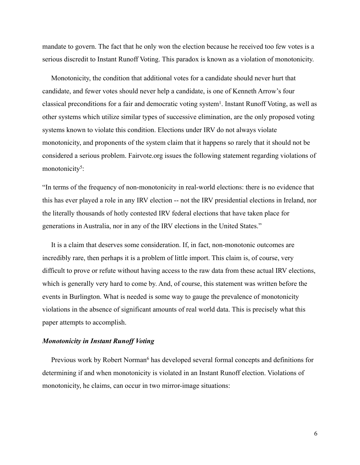mandate to govern. The fact that he only won the election because he received too few votes is a serious discredit to Instant Runoff Voting. This paradox is known as a violation of monotonicity.

 Monotonicity, the condition that additional votes for a candidate should never hurt that candidate, and fewer votes should never help a candidate, is one of Kenneth Arrow's four classical preconditions for a fair and democratic voting system<sup>1</sup>. Instant Runoff Voting, as well as other systems which utilize similar types of successive elimination, are the only proposed voting systems known to violate this condition. Elections under IRV do not always violate monotonicity, and proponents of the system claim that it happens so rarely that it should not be considered a serious problem. Fairvote.org issues the following statement regarding violations of monotonicity<sup>5</sup>:

"In terms of the frequency of non-monotonicity in real-world elections: there is no evidence that this has ever played a role in any IRV election -- not the IRV presidential elections in Ireland, nor the literally thousands of hotly contested IRV federal elections that have taken place for generations in Australia, nor in any of the IRV elections in the United States."

 It is a claim that deserves some consideration. If, in fact, non-monotonic outcomes are incredibly rare, then perhaps it is a problem of little import. This claim is, of course, very difficult to prove or refute without having access to the raw data from these actual IRV elections, which is generally very hard to come by. And, of course, this statement was written before the events in Burlington. What is needed is some way to gauge the prevalence of monotonicity violations in the absence of significant amounts of real world data. This is precisely what this paper attempts to accomplish.

# *Monotonicity in Instant Runoff Voting*

Previous work by Robert Norman<sup>6</sup> has developed several formal concepts and definitions for determining if and when monotonicity is violated in an Instant Runoff election. Violations of monotonicity, he claims, can occur in two mirror-image situations: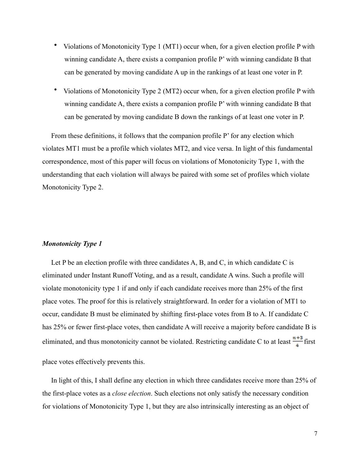- Violations of Monotonicity Type 1 (MT1) occur when, for a given election profile P with winning candidate A, there exists a companion profile P' with winning candidate B that can be generated by moving candidate A up in the rankings of at least one voter in P.
- Violations of Monotonicity Type 2 (MT2) occur when, for a given election profile P with winning candidate A, there exists a companion profile P' with winning candidate B that can be generated by moving candidate B down the rankings of at least one voter in P.

 From these definitions, it follows that the companion profile P' for any election which violates MT1 must be a profile which violates MT2, and vice versa. In light of this fundamental correspondence, most of this paper will focus on violations of Monotonicity Type 1, with the understanding that each violation will always be paired with some set of profiles which violate Monotonicity Type 2.

## *Monotonicity Type 1*

Let P be an election profile with three candidates A, B, and C, in which candidate C is eliminated under Instant Runoff Voting, and as a result, candidate A wins. Such a profile will violate monotonicity type 1 if and only if each candidate receives more than 25% of the first place votes. The proof for this is relatively straightforward. In order for a violation of MT1 to occur, candidate B must be eliminated by shifting first-place votes from B to A. If candidate C has 25% or fewer first-place votes, then candidate A will receive a majority before candidate B is eliminated, and thus monotonicity cannot be violated. Restricting candidate C to at least  $\frac{n+3}{4}$  first

place votes effectively prevents this.

 In light of this, I shall define any election in which three candidates receive more than 25% of the first-place votes as a *close election*. Such elections not only satisfy the necessary condition for violations of Monotonicity Type 1, but they are also intrinsically interesting as an object of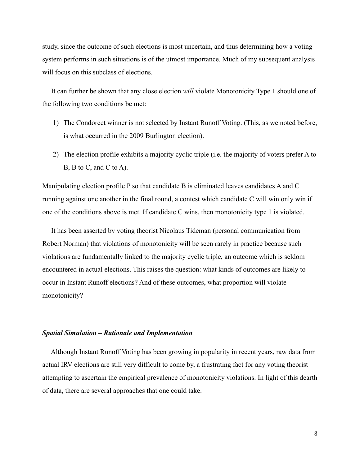study, since the outcome of such elections is most uncertain, and thus determining how a voting system performs in such situations is of the utmost importance. Much of my subsequent analysis will focus on this subclass of elections.

 It can further be shown that any close election *will* violate Monotonicity Type 1 should one of the following two conditions be met:

- 1) The Condorcet winner is not selected by Instant Runoff Voting. (This, as we noted before, is what occurred in the 2009 Burlington election).
- 2) The election profile exhibits a majority cyclic triple (i.e. the majority of voters prefer A to B, B to C, and C to A).

Manipulating election profile P so that candidate B is eliminated leaves candidates A and C running against one another in the final round, a contest which candidate C will win only win if one of the conditions above is met. If candidate C wins, then monotonicity type 1 is violated.

 It has been asserted by voting theorist Nicolaus Tideman (personal communication from Robert Norman) that violations of monotonicity will be seen rarely in practice because such violations are fundamentally linked to the majority cyclic triple, an outcome which is seldom encountered in actual elections. This raises the question: what kinds of outcomes are likely to occur in Instant Runoff elections? And of these outcomes, what proportion will violate monotonicity?

## *Spatial Simulation – Rationale and Implementation*

 Although Instant Runoff Voting has been growing in popularity in recent years, raw data from actual IRV elections are still very difficult to come by, a frustrating fact for any voting theorist attempting to ascertain the empirical prevalence of monotonicity violations. In light of this dearth of data, there are several approaches that one could take.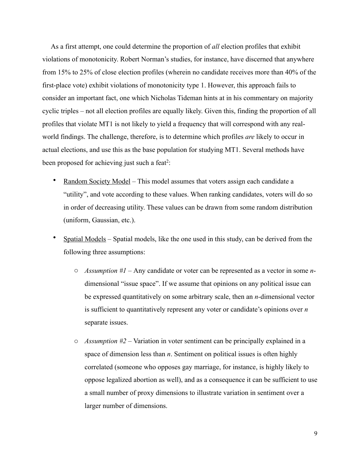As a first attempt, one could determine the proportion of *all* election profiles that exhibit violations of monotonicity. Robert Norman's studies, for instance, have discerned that anywhere from 15% to 25% of close election profiles (wherein no candidate receives more than 40% of the first-place vote) exhibit violations of monotonicity type 1. However, this approach fails to consider an important fact, one which Nicholas Tideman hints at in his commentary on majority cyclic triples – not all election profiles are equally likely. Given this, finding the proportion of all profiles that violate MT1 is not likely to yield a frequency that will correspond with any realworld findings. The challenge, therefore, is to determine which profiles *are* likely to occur in actual elections, and use this as the base population for studying MT1. Several methods have been proposed for achieving just such a feat<sup>2</sup>:

- Random Society Model This model assumes that voters assign each candidate a "utility", and vote according to these values. When ranking candidates, voters will do so in order of decreasing utility. These values can be drawn from some random distribution (uniform, Gaussian, etc.).
- Spatial Models Spatial models, like the one used in this study, can be derived from the following three assumptions:
	- o *Assumption #1* Any candidate or voter can be represented as a vector in some *n*dimensional "issue space". If we assume that opinions on any political issue can be expressed quantitatively on some arbitrary scale, then an *n-*dimensional vector is sufficient to quantitatively represent any voter or candidate's opinions over *n* separate issues.
	- o *Assumption #2 –* Variation in voter sentiment can be principally explained in a space of dimension less than *n*. Sentiment on political issues is often highly correlated (someone who opposes gay marriage, for instance, is highly likely to oppose legalized abortion as well), and as a consequence it can be sufficient to use a small number of proxy dimensions to illustrate variation in sentiment over a larger number of dimensions.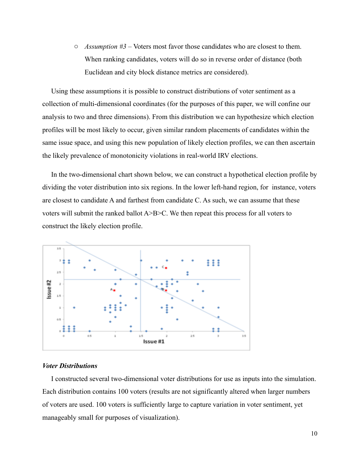o *Assumption #3 –* Voters most favor those candidates who are closest to them. When ranking candidates, voters will do so in reverse order of distance (both Euclidean and city block distance metrics are considered).

 Using these assumptions it is possible to construct distributions of voter sentiment as a collection of multi-dimensional coordinates (for the purposes of this paper, we will confine our analysis to two and three dimensions). From this distribution we can hypothesize which election profiles will be most likely to occur, given similar random placements of candidates within the same issue space, and using this new population of likely election profiles, we can then ascertain the likely prevalence of monotonicity violations in real-world IRV elections.

 In the two-dimensional chart shown below, we can construct a hypothetical election profile by dividing the voter distribution into six regions. In the lower left-hand region, for instance, voters are closest to candidate A and farthest from candidate C. As such, we can assume that these voters will submit the ranked ballot A>B>C. We then repeat this process for all voters to construct the likely election profile.



## *Voter Distributions*

 I constructed several two-dimensional voter distributions for use as inputs into the simulation. Each distribution contains 100 voters (results are not significantly altered when larger numbers of voters are used. 100 voters is sufficiently large to capture variation in voter sentiment, yet manageably small for purposes of visualization).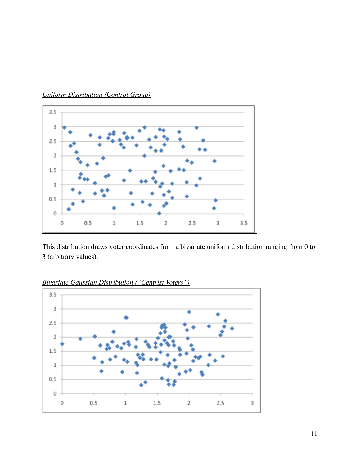

*Uniform Distribution (Control Group)*

This distribution draws voter coordinates from a bivariate uniform distribution ranging from 0 to 3 (arbitrary values).



*Bivariate Gaussian Distribution ("Centrist Voters")*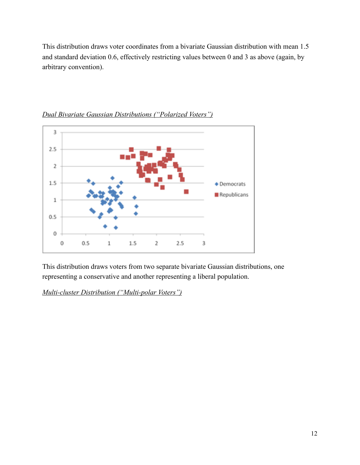This distribution draws voter coordinates from a bivariate Gaussian distribution with mean 1.5 and standard deviation 0.6, effectively restricting values between 0 and 3 as above (again, by arbitrary convention).



*Dual Bivariate Gaussian Distributions ("Polarized Voters")*

This distribution draws voters from two separate bivariate Gaussian distributions, one representing a conservative and another representing a liberal population.

*Multi-cluster Distribution ("Multi-polar Voters")*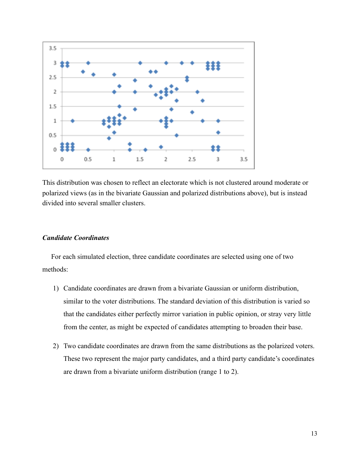

This distribution was chosen to reflect an electorate which is not clustered around moderate or polarized views (as in the bivariate Gaussian and polarized distributions above), but is instead divided into several smaller clusters.

# *Candidate Coordinates*

 For each simulated election, three candidate coordinates are selected using one of two methods:

- 1) Candidate coordinates are drawn from a bivariate Gaussian or uniform distribution, similar to the voter distributions. The standard deviation of this distribution is varied so that the candidates either perfectly mirror variation in public opinion, or stray very little from the center, as might be expected of candidates attempting to broaden their base.
- 2) Two candidate coordinates are drawn from the same distributions as the polarized voters. These two represent the major party candidates, and a third party candidate's coordinates are drawn from a bivariate uniform distribution (range 1 to 2).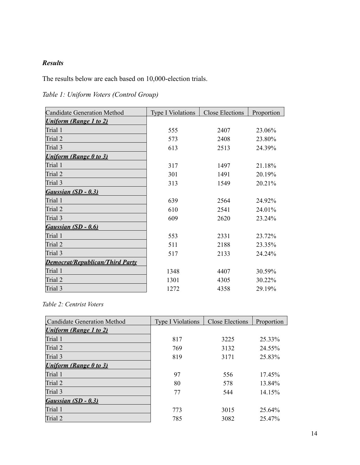# *Results*

The results below are each based on 10,000-election trials.

| <b>Candidate Generation Method</b>     | <b>Type I Violations</b> | <b>Close Elections</b> | Proportion |
|----------------------------------------|--------------------------|------------------------|------------|
| <b>Uniform (Range 1 to 2)</b>          |                          |                        |            |
| Trial 1                                | 555                      | 2407                   | 23.06%     |
| Trial 2                                | 573                      | 2408                   | 23.80%     |
| Trial 3                                | 613                      | 2513                   | 24.39%     |
| <b>Uniform (Range 0 to 3)</b>          |                          |                        |            |
| Trial 1                                | 317                      | 1497                   | 21.18%     |
| Trial 2                                | 301                      | 1491                   | 20.19%     |
| Trial 3                                | 313                      | 1549                   | 20.21%     |
| Gaussian (SD - 0.3)                    |                          |                        |            |
| Trial 1                                | 639                      | 2564                   | 24.92%     |
| Trial 2                                | 610                      | 2541                   | 24.01%     |
| Trial 3                                | 609                      | 2620                   | 23.24%     |
| Gaussian (SD - 0.6)                    |                          |                        |            |
| Trial 1                                | 553                      | 2331                   | 23.72%     |
| Trial 2                                | 511                      | 2188                   | 23.35%     |
| Trial 3                                | 517                      | 2133                   | 24.24%     |
| <b>Democrat/Republican/Third Party</b> |                          |                        |            |
| Trial 1                                | 1348                     | 4407                   | 30.59%     |
| Trial 2                                | 1301                     | 4305                   | 30.22%     |
| Trial 3                                | 1272                     | 4358                   | 29.19%     |

*Table 1: Uniform Voters (Control Group)*

# *Table 2: Centrist Voters*

| <b>Candidate Generation Method</b> | <b>Type I Violations</b> | <b>Close Elections</b> | Proportion |
|------------------------------------|--------------------------|------------------------|------------|
| <b>Uniform (Range 1 to 2)</b>      |                          |                        |            |
| Trial 1                            | 817                      | 3225                   | 25.33%     |
| Trial 2                            | 769                      | 3132                   | 24.55%     |
| Trial 3                            | 819                      | 3171                   | 25.83%     |
| <b>Uniform (Range 0 to 3)</b>      |                          |                        |            |
| Trial 1                            | 97                       | 556                    | $17.45\%$  |
| Trial 2                            | 80                       | 578                    | 13.84%     |
| Trial 3                            | 77                       | 544                    | $14.15\%$  |
| Gaussian $(SD - 0.3)$              |                          |                        |            |
| Trial 1                            | 773                      | 3015                   | 25.64%     |
| Trial 2                            | 785                      | 3082                   | 25.47%     |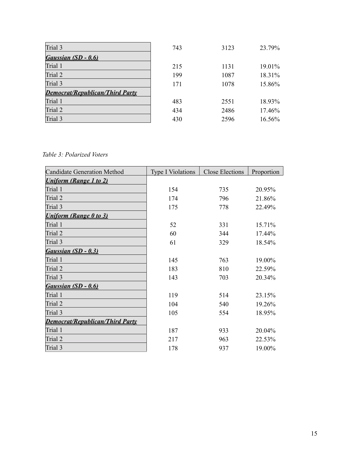| Trial 3                                | 743 | 3123 | 23.79% |
|----------------------------------------|-----|------|--------|
| Gaussian (SD - 0.6)                    |     |      |        |
| Trial 1                                | 215 | 1131 | 19.01% |
| Trial 2                                | 199 | 1087 | 18.31% |
| Trial 3                                | 171 | 1078 | 15.86% |
| <b>Democrat/Republican/Third Party</b> |     |      |        |
| Trial 1                                | 483 | 2551 | 18.93% |
| Trial 2                                | 434 | 2486 | 17.46% |
| Trial 3                                | 430 | 2596 | 16.56% |

*Table 3: Polarized Voters*

| <b>Candidate Generation Method</b>     | <b>Type I Violations</b> | <b>Close Elections</b> | Proportion |
|----------------------------------------|--------------------------|------------------------|------------|
| <b>Uniform (Range 1 to 2)</b>          |                          |                        |            |
| Trial 1                                | 154                      | 735                    | 20.95%     |
| Trial 2                                | 174                      | 796                    | 21.86%     |
| Trial 3                                | 175                      | 778                    | 22.49%     |
| <b>Uniform (Range 0 to 3)</b>          |                          |                        |            |
| Trial 1                                | 52                       | 331                    | 15.71%     |
| Trial 2                                | 60                       | 344                    | 17.44%     |
| Trial 3                                | 61                       | 329                    | 18.54%     |
| Gaussian (SD - 0.3)                    |                          |                        |            |
| Trial 1                                | 145                      | 763                    | 19.00%     |
| Trial 2                                | 183                      | 810                    | 22.59%     |
| Trial 3                                | 143                      | 703                    | 20.34%     |
| Gaussian (SD - 0.6)                    |                          |                        |            |
| Trial 1                                | 119                      | 514                    | 23.15%     |
| Trial 2                                | 104                      | 540                    | 19.26%     |
| Trial 3                                | 105                      | 554                    | 18.95%     |
| <b>Democrat/Republican/Third Party</b> |                          |                        |            |
| Trial 1                                | 187                      | 933                    | 20.04%     |
| Trial 2                                | 217                      | 963                    | 22.53%     |
| Trial 3                                | 178                      | 937                    | 19.00%     |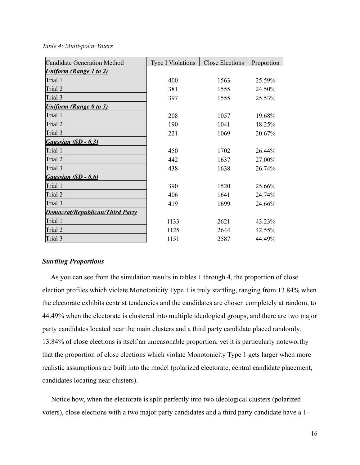#### *Table 4: Multi-polar Voters*

| <b>Candidate Generation Method</b>     | <b>Type I Violations</b> | <b>Close Elections</b> | Proportion |
|----------------------------------------|--------------------------|------------------------|------------|
| <b>Uniform (Range 1 to 2)</b>          |                          |                        |            |
| Trial 1                                | 400                      | 1563                   | 25.59%     |
| Trial 2                                | 381                      | 1555                   | 24.50%     |
| Trial 3                                | 397                      | 1555                   | 25.53%     |
| <b>Uniform (Range 0 to 3)</b>          |                          |                        |            |
| Trial 1                                | 208                      | 1057                   | 19.68%     |
| Trial 2                                | 190                      | 1041                   | 18.25%     |
| Trial 3                                | 221                      | 1069                   | 20.67%     |
| Gaussian (SD - 0.3)                    |                          |                        |            |
| Trial 1                                | 450                      | 1702                   | 26.44%     |
| Trial 2                                | 442                      | 1637                   | 27.00%     |
| Trial 3                                | 438                      | 1638                   | 26.74%     |
| Gaussian (SD - 0.6)                    |                          |                        |            |
| Trial 1                                | 390                      | 1520                   | 25.66%     |
| Trial 2                                | 406                      | 1641                   | 24.74%     |
| Trial 3                                | 419                      | 1699                   | 24.66%     |
| <b>Democrat/Republican/Third Party</b> |                          |                        |            |
| Trial 1                                | 1133                     | 2621                   | 43.23%     |
| Trial 2                                | 1125                     | 2644                   | 42.55%     |
| Trial 3                                | 1151                     | 2587                   | 44.49%     |

# *Startling Proportions*

 As you can see from the simulation results in tables 1 through 4, the proportion of close election profiles which violate Monotonicity Type 1 is truly startling, ranging from 13.84% when the electorate exhibits centrist tendencies and the candidates are chosen completely at random, to 44.49% when the electorate is clustered into multiple ideological groups, and there are two major party candidates located near the main clusters and a third party candidate placed randomly. 13.84% of close elections is itself an unreasonable proportion, yet it is particularly noteworthy that the proportion of close elections which violate Monotonicity Type 1 gets larger when more realistic assumptions are built into the model (polarized electorate, central candidate placement, candidates locating near clusters).

 Notice how, when the electorate is split perfectly into two ideological clusters (polarized voters), close elections with a two major party candidates and a third party candidate have a 1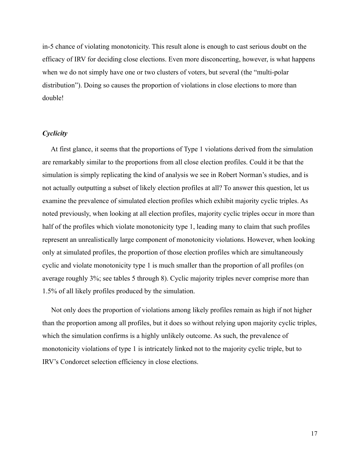in-5 chance of violating monotonicity. This result alone is enough to cast serious doubt on the efficacy of IRV for deciding close elections. Even more disconcerting, however, is what happens when we do not simply have one or two clusters of voters, but several (the "multi-polar distribution"). Doing so causes the proportion of violations in close elections to more than double!

# *Cyclicity*

 At first glance, it seems that the proportions of Type 1 violations derived from the simulation are remarkably similar to the proportions from all close election profiles. Could it be that the simulation is simply replicating the kind of analysis we see in Robert Norman's studies, and is not actually outputting a subset of likely election profiles at all? To answer this question, let us examine the prevalence of simulated election profiles which exhibit majority cyclic triples. As noted previously, when looking at all election profiles, majority cyclic triples occur in more than half of the profiles which violate monotonicity type 1, leading many to claim that such profiles represent an unrealistically large component of monotonicity violations. However, when looking only at simulated profiles, the proportion of those election profiles which are simultaneously cyclic and violate monotonicity type 1 is much smaller than the proportion of all profiles (on average roughly 3%; see tables 5 through 8). Cyclic majority triples never comprise more than 1.5% of all likely profiles produced by the simulation.

 Not only does the proportion of violations among likely profiles remain as high if not higher than the proportion among all profiles, but it does so without relying upon majority cyclic triples, which the simulation confirms is a highly unlikely outcome. As such, the prevalence of monotonicity violations of type 1 is intricately linked not to the majority cyclic triple, but to IRV's Condorcet selection efficiency in close elections.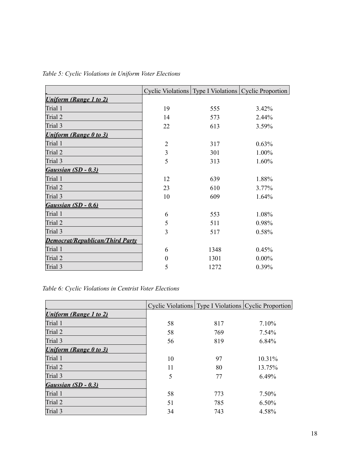|                                        |                | Cyclic Violations   Type I Violations   Cyclic Proportion |          |
|----------------------------------------|----------------|-----------------------------------------------------------|----------|
| <b>Uniform (Range 1 to 2)</b>          |                |                                                           |          |
| Trial 1                                | 19             | 555                                                       | 3.42%    |
| Trial 2                                | 14             | 573                                                       | 2.44%    |
| Trial 3                                | 22             | 613                                                       | 3.59%    |
| <b>Uniform (Range 0 to 3)</b>          |                |                                                           |          |
| Trial 1                                | $\overline{2}$ | 317                                                       | 0.63%    |
| Trial 2                                | $\mathfrak{Z}$ | 301                                                       | 1.00%    |
| Trial 3                                | 5              | 313                                                       | 1.60%    |
| Gaussian (SD - 0.3)                    |                |                                                           |          |
| Trial 1                                | 12             | 639                                                       | 1.88%    |
| Trial 2                                | 23             | 610                                                       | 3.77%    |
| Trial 3                                | 10             | 609                                                       | 1.64%    |
| Gaussian (SD - 0.6)                    |                |                                                           |          |
| Trial 1                                | 6              | 553                                                       | 1.08%    |
| Trial 2                                | 5              | 511                                                       | 0.98%    |
| Trial 3                                | 3              | 517                                                       | 0.58%    |
| <b>Democrat/Republican/Third Party</b> |                |                                                           |          |
| Trial 1                                | 6              | 1348                                                      | 0.45%    |
| Trial 2                                | $\Omega$       | 1301                                                      | $0.00\%$ |
| Trial 3                                | 5              | 1272                                                      | 0.39%    |

*Table 5: Cyclic Violations in Uniform Voter Elections*

*Table 6: Cyclic Violations in Centrist Voter Elections*

|                               |    |     | Cyclic Violations   Type I Violations   Cyclic Proportion |
|-------------------------------|----|-----|-----------------------------------------------------------|
| <b>Uniform (Range 1 to 2)</b> |    |     |                                                           |
| Trial 1                       | 58 | 817 | 7.10%                                                     |
| Trial 2                       | 58 | 769 | $7.54\%$                                                  |
| Trial 3                       | 56 | 819 | 6.84%                                                     |
| <b>Uniform (Range 0 to 3)</b> |    |     |                                                           |
| Trial 1                       | 10 | 97  | 10.31%                                                    |
| Trial 2                       | 11 | 80  | 13.75%                                                    |
| Trial 3                       | 5  | 77  | $6.49\%$                                                  |
| Gaussian $(SD - 0.3)$         |    |     |                                                           |
| Trial 1                       | 58 | 773 | 7.50%                                                     |
| Trial 2                       | 51 | 785 | $6.50\%$                                                  |
| Trial 3                       | 34 | 743 | 4.58%                                                     |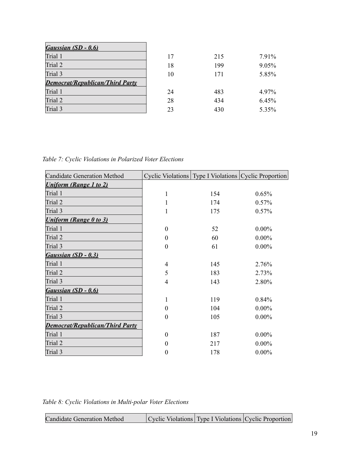| Gaussian (SD - 0.6)                    |    |     |       |
|----------------------------------------|----|-----|-------|
| Trial 1                                | 17 | 215 | 7.91% |
| Trial 2                                | 18 | 199 | 9.05% |
| Trial 3                                | 10 | 171 | 5.85% |
| <b>Democrat/Republican/Third Party</b> |    |     |       |
| Trial 1                                | 24 | 483 | 4.97% |
| Trial 2                                | 28 | 434 | 6.45% |
| Trial 3                                | 23 | 430 | 5.35% |

*Table 7: Cyclic Violations in Polarized Voter Elections*

| 1              | 154 | 0.65%                                                     |
|----------------|-----|-----------------------------------------------------------|
| 1              | 174 | 0.57%                                                     |
| 1              | 175 | 0.57%                                                     |
|                |     |                                                           |
| $\Omega$       | 52  | $0.00\%$                                                  |
| $\theta$       | 60  | $0.00\%$                                                  |
| $\theta$       | 61  | $0.00\%$                                                  |
|                |     |                                                           |
| 4              | 145 | 2.76%                                                     |
| 5              | 183 | 2.73%                                                     |
| 4              | 143 | 2.80%                                                     |
|                |     |                                                           |
| 1              | 119 | 0.84%                                                     |
| $\overline{0}$ | 104 | $0.00\%$                                                  |
| $\theta$       | 105 | $0.00\%$                                                  |
|                |     |                                                           |
| $\Omega$       | 187 | $0.00\%$                                                  |
| $\theta$       | 217 | $0.00\%$                                                  |
| $\theta$       | 178 | $0.00\%$                                                  |
|                |     | Cyclic Violations   Type I Violations   Cyclic Proportion |

*Table 8: Cyclic Violations in Multi-polar Voter Elections*

| Candidate Generation Method |  |  | Cyclic Violations   Type I Violations   Cyclic Proportion |
|-----------------------------|--|--|-----------------------------------------------------------|
|-----------------------------|--|--|-----------------------------------------------------------|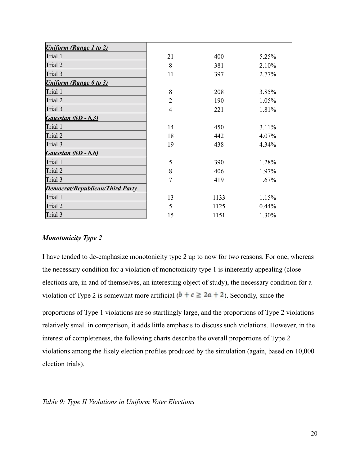| <b>Uniform (Range 1 to 2)</b>          |                |      |       |
|----------------------------------------|----------------|------|-------|
| Trial 1                                | 21             | 400  | 5.25% |
| Trial 2                                | 8              | 381  | 2.10% |
| Trial 3                                | 11             | 397  | 2.77% |
| <b>Uniform (Range 0 to 3)</b>          |                |      |       |
| Trial 1                                | 8              | 208  | 3.85% |
| Trial 2                                | $\overline{2}$ | 190  | 1.05% |
| Trial 3                                | $\overline{4}$ | 221  | 1.81% |
| Gaussian (SD - 0.3)                    |                |      |       |
| Trial 1                                | 14             | 450  | 3.11% |
| Trial 2                                | 18             | 442  | 4.07% |
| Trial 3                                | 19             | 438  | 4.34% |
| Gaussian (SD - 0.6)                    |                |      |       |
| Trial 1                                | 5              | 390  | 1.28% |
| Trial 2                                | 8              | 406  | 1.97% |
| Trial 3                                | $\overline{7}$ | 419  | 1.67% |
| <b>Democrat/Republican/Third Party</b> |                |      |       |
| Trial 1                                | 13             | 1133 | 1.15% |
| Trial 2                                | 5              | 1125 | 0.44% |
| Trial 3                                | 15             | 1151 | 1.30% |

# *Monotonicity Type 2*

I have tended to de-emphasize monotonicity type 2 up to now for two reasons. For one, whereas the necessary condition for a violation of monotonicity type 1 is inherently appealing (close elections are, in and of themselves, an interesting object of study), the necessary condition for a violation of Type 2 is somewhat more artificial  $(b + c \ge 2a + 2)$ . Secondly, since the

proportions of Type 1 violations are so startlingly large, and the proportions of Type 2 violations relatively small in comparison, it adds little emphasis to discuss such violations. However, in the interest of completeness, the following charts describe the overall proportions of Type 2 violations among the likely election profiles produced by the simulation (again, based on 10,000 election trials).

# *Table 9: Type II Violations in Uniform Voter Elections*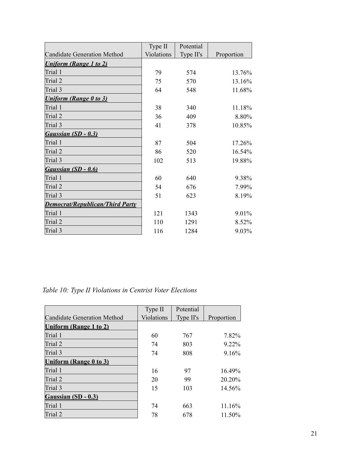|                                        | Type II    | Potential |            |
|----------------------------------------|------------|-----------|------------|
| <b>Candidate Generation Method</b>     | Violations | Type II's | Proportion |
| <b>Uniform (Range 1 to 2)</b>          |            |           |            |
| Trial 1                                | 79         | 574       | 13.76%     |
| Trial 2                                | 75         | 570       | 13.16%     |
| Trial 3                                | 64         | 548       | 11.68%     |
| <b>Uniform (Range 0 to 3)</b>          |            |           |            |
| Trial 1                                | 38         | 340       | 11.18%     |
| Trial 2                                | 36         | 409       | 8.80%      |
| Trial 3                                | 41         | 378       | 10.85%     |
| Gaussian (SD - 0.3)                    |            |           |            |
| Trial 1                                | 87         | 504       | 17.26%     |
| Trial 2                                | 86         | 520       | 16.54%     |
| Trial 3                                | 102        | 513       | 19.88%     |
| Gaussian (SD - 0.6)                    |            |           |            |
| Trial 1                                | 60         | 640       | 9.38%      |
| Trial 2                                | 54         | 676       | 7.99%      |
| Trial 3                                | 51         | 623       | 8.19%      |
| <b>Democrat/Republican/Third Party</b> |            |           |            |
| Trial 1                                | 121        | 1343      | 9.01%      |
| Trial 2                                | 110        | 1291      | 8.52%      |
| Trial 3                                | 116        | 1284      | 9.03%      |

# *Table 10: Type II Violations in Centrist Voter Elections*

|                                    | Type II           | Potential |            |
|------------------------------------|-------------------|-----------|------------|
| <b>Candidate Generation Method</b> | <b>Violations</b> | Type II's | Proportion |
| Uniform (Range 1 to 2)             |                   |           |            |
| Trial 1                            | 60                | 767       | 7.82%      |
| Trial 2                            | 74                | 803       | $922\%$    |
| Trial 3                            | 74                | 808       | 9.16%      |
| Uniform (Range 0 to 3)             |                   |           |            |
| Trial 1                            | 16                | 97        | $16.49\%$  |
| Trial 2                            | 20                | 99        | 20.20%     |
| Trial 3                            | 15                | 103       | 14.56%     |
| Gaussian (SD - 0.3)                |                   |           |            |
| Trial 1                            | 74                | 663       | 11.16%     |
| Trial 2                            | 78                | 678       | 11.50%     |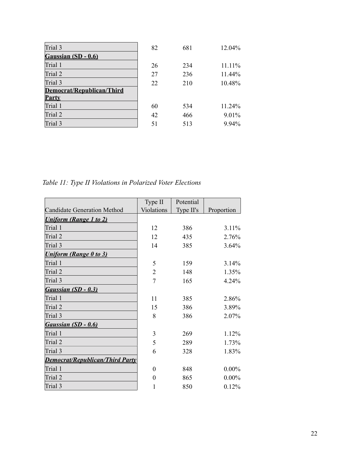| Trial 3                   | 82 | 681 | 12.04% |
|---------------------------|----|-----|--------|
| Gaussian (SD - 0.6)       |    |     |        |
| Trial 1                   | 26 | 234 | 11.11% |
| Trial 2                   | 27 | 236 | 11.44% |
| Trial 3                   | 22 | 210 | 10.48% |
| Democrat/Republican/Third |    |     |        |
| <b>Party</b>              |    |     |        |
| Trial 1                   | 60 | 534 | 11.24% |
| Trial 2                   | 42 | 466 | 9.01%  |
| Trial 3                   | 51 | 513 | 9.94%  |

*Table 11: Type II Violations in Polarized Voter Elections*

|                                        | Type II        | Potential |            |
|----------------------------------------|----------------|-----------|------------|
| <b>Candidate Generation Method</b>     | Violations     | Type II's | Proportion |
| <b>Uniform (Range 1 to 2)</b>          |                |           |            |
| Trial 1                                | 12             | 386       | 3.11%      |
| Trial 2                                | 12             | 435       | 2.76%      |
| Trial 3                                | 14             | 385       | 3.64%      |
| <b>Uniform (Range 0 to 3)</b>          |                |           |            |
| Trial 1                                | 5              | 159       | 3.14%      |
| Trial 2                                | $\overline{2}$ | 148       | 1.35%      |
| Trial 3                                | 7              | 165       | 4.24%      |
| Gaussian (SD - 0.3)                    |                |           |            |
| Trial 1                                | 11             | 385       | 2.86%      |
| Trial <sub>2</sub>                     | 15             | 386       | 3.89%      |
| Trial 3                                | 8              | 386       | 2.07%      |
| Gaussian (SD - 0.6)                    |                |           |            |
| Trial 1                                | 3              | 269       | 1.12%      |
| Trial 2                                | 5              | 289       | 1.73%      |
| Trial 3                                | 6              | 328       | 1.83%      |
| <b>Democrat/Republican/Third Party</b> |                |           |            |
| Trial 1                                | $\theta$       | 848       | $0.00\%$   |
| Trial 2                                | $\theta$       | 865       | $0.00\%$   |
| Trial 3                                | 1              | 850       | 0.12%      |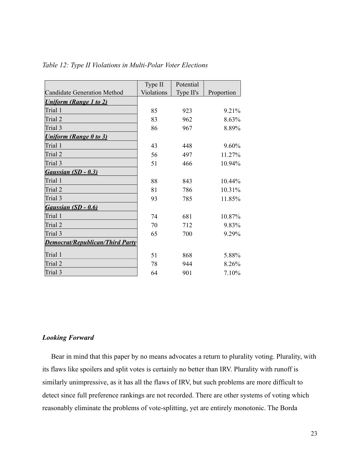|                                        | Type II           | Potential |            |
|----------------------------------------|-------------------|-----------|------------|
| <b>Candidate Generation Method</b>     | <b>Violations</b> | Type II's | Proportion |
| <b>Uniform (Range 1 to 2)</b>          |                   |           |            |
| Trial 1                                | 85                | 923       | 9 2 1 %    |
| Trial 2                                | 83                | 962       | 8.63%      |
| Trial 3                                | 86                | 967       | 8.89%      |
| <b>Uniform (Range 0 to 3)</b>          |                   |           |            |
| Trial 1                                | 43                | 448       | 9.60%      |
| Trial 2                                | 56                | 497       | 11.27%     |
| Trial 3                                | 51                | 466       | 10.94%     |
| Gaussian (SD - 0.3)                    |                   |           |            |
| Trial 1                                | 88                | 843       | 10.44%     |
| Trial 2                                | 81                | 786       | 10.31%     |
| Trial 3                                | 93                | 785       | 11.85%     |
| Gaussian (SD - 0.6)                    |                   |           |            |
| Trial 1                                | 74                | 681       | 10.87%     |
| Trial 2                                | 70                | 712       | 9.83%      |
| Trial 3                                | 65                | 700       | 9.29%      |
| <b>Democrat/Republican/Third Party</b> |                   |           |            |
| Trial 1                                | 51                | 868       | 5.88%      |
| Trial 2                                | 78                | 944       | 8.26%      |
| Trial 3                                | 64                | 901       | 7.10%      |

*Table 12: Type II Violations in Multi-Polar Voter Elections*

# *Looking Forward*

 Bear in mind that this paper by no means advocates a return to plurality voting. Plurality, with its flaws like spoilers and split votes is certainly no better than IRV. Plurality with runoff is similarly unimpressive, as it has all the flaws of IRV, but such problems are more difficult to detect since full preference rankings are not recorded. There are other systems of voting which reasonably eliminate the problems of vote-splitting, yet are entirely monotonic. The Borda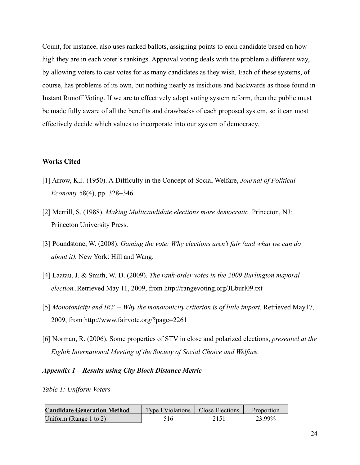Count, for instance, also uses ranked ballots, assigning points to each candidate based on how high they are in each voter's rankings. Approval voting deals with the problem a different way, by allowing voters to cast votes for as many candidates as they wish. Each of these systems, of course, has problems of its own, but nothing nearly as insidious and backwards as those found in Instant Runoff Voting. If we are to effectively adopt voting system reform, then the public must be made fully aware of all the benefits and drawbacks of each proposed system, so it can most effectively decide which values to incorporate into our system of democracy.

# **Works Cited**

- [1] Arrow, K.J. (1950). A Difficulty in the Concept of Social Welfare, *Journal of Political Economy* 58(4), pp. 328–346.
- [2] Merrill, S. (1988). *Making Multicandidate elections more democratic.* Princeton, NJ: Princeton University Press.
- [3] Poundstone, W. (2008). *Gaming the vote: Why elections aren't fair (and what we can do about it).* New York: Hill and Wang.
- [4] Laatau, J. & Smith, W. D. (2009). *The rank-order votes in the 2009 Burlington mayoral election..*Retrieved May 11, 2009, from http://rangevoting.org/JLburl09.txt
- [5] *Monotonicity and IRV -- Why the monotonicity criterion is of little import.* Retrieved May17, 2009, from http://www.fairvote.org/?page=2261
- [6] Norman, R. (2006). Some properties of STV in close and polarized elections, *presented at the Eighth International Meeting of the Society of Social Choice and Welfare.*

#### *Appendix 1 – Results using City Block Distance Metric*

*Table 1: Uniform Voters*

| <b>Candidate Generation Method</b> | Type I Violations   Close Elections |      | Proportion |
|------------------------------------|-------------------------------------|------|------------|
| Uniform (Range 1 to 2)             | 516                                 | 2151 | 23.99%     |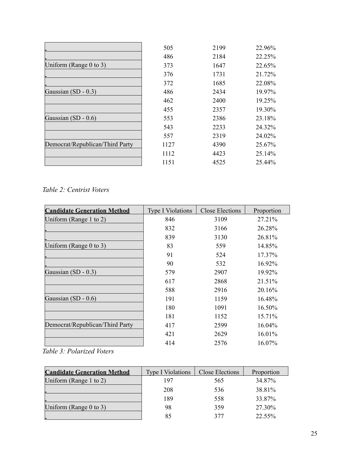|                                 | 505  | 2199 | 22.96% |
|---------------------------------|------|------|--------|
|                                 | 486  | 2184 | 22.25% |
| Uniform (Range $0$ to $3$ )     | 373  | 1647 | 22.65% |
|                                 | 376  | 1731 | 21.72% |
|                                 | 372  | 1685 | 22.08% |
| Gaussian (SD - 0.3)             | 486  | 2434 | 19.97% |
|                                 | 462  | 2400 | 19.25% |
|                                 | 455  | 2357 | 19.30% |
| Gaussian $(SD - 0.6)$           | 553  | 2386 | 23.18% |
|                                 | 543  | 2233 | 24.32% |
|                                 | 557  | 2319 | 24.02% |
| Democrat/Republican/Third Party | 1127 | 4390 | 25.67% |
|                                 | 1112 | 4423 | 25.14% |
|                                 | 1151 | 4525 | 25.44% |

# *Table 2: Centrist Voters*

| <b>Candidate Generation Method</b> | <b>Type I Violations</b> | <b>Close Elections</b> | Proportion |
|------------------------------------|--------------------------|------------------------|------------|
| Uniform (Range 1 to 2)             | 846                      | 3109                   | 27.21%     |
|                                    | 832                      | 3166                   | 26.28%     |
|                                    | 839                      | 3130                   | 26.81%     |
| Uniform (Range $0$ to 3)           | 83                       | 559                    | 14.85%     |
|                                    | 91                       | 524                    | 17.37%     |
|                                    | 90                       | 532                    | 16.92%     |
| Gaussian (SD - 0.3)                | 579                      | 2907                   | 19.92%     |
|                                    | 617                      | 2868                   | 21.51%     |
|                                    | 588                      | 2916                   | 20.16%     |
| Gaussian $(SD - 0.6)$              | 191                      | 1159                   | 16.48%     |
|                                    | 180                      | 1091                   | 16.50%     |
|                                    | 181                      | 1152                   | 15.71%     |
| Democrat/Republican/Third Party    | 417                      | 2599                   | 16.04%     |
|                                    | 421                      | 2629                   | 16.01%     |
|                                    | 414                      | 2576                   | 16.07%     |
| $T_2$ kla 2. Dolanizad Votana      |                          |                        |            |

*Table 3: Polarized Voters*

| <b>Candidate Generation Method</b> | <b>Type I Violations</b> | Close Elections | Proportion |
|------------------------------------|--------------------------|-----------------|------------|
| Uniform (Range 1 to 2)             | 197                      | 565             | 34.87%     |
|                                    | 208                      | 536             | 38.81%     |
|                                    | 189                      | 558             | 33.87%     |
| Uniform (Range 0 to 3)             | 98                       | 359             | 27.30%     |
|                                    | 85                       |                 | 22.55%     |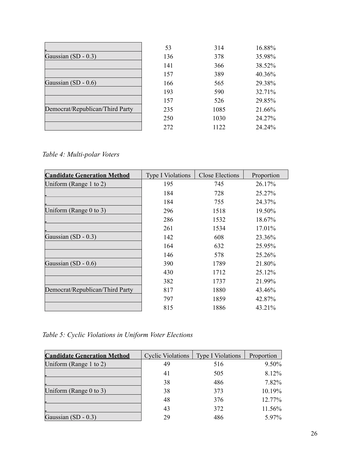|                                 | 53  | 314  | 16.88% |
|---------------------------------|-----|------|--------|
| Gaussian $(SD - 0.3)$           | 136 | 378  | 35.98% |
|                                 | 141 | 366  | 38.52% |
|                                 | 157 | 389  | 40.36% |
| Gaussian $(SD - 0.6)$           | 166 | 565  | 29.38% |
|                                 | 193 | 590  | 32.71% |
|                                 | 157 | 526  | 29.85% |
| Democrat/Republican/Third Party | 235 | 1085 | 21.66% |
|                                 | 250 | 1030 | 24.27% |
|                                 | 272 | 1122 | 24.24% |

*Table 4: Multi-polar Voters*

| <b>Candidate Generation Method</b> | <b>Type I Violations</b> | <b>Close Elections</b> | Proportion |
|------------------------------------|--------------------------|------------------------|------------|
| Uniform (Range 1 to 2)             | 195                      | 745                    | 26.17%     |
|                                    | 184                      | 728                    | 25.27%     |
|                                    | 184                      | 755                    | 24.37%     |
| Uniform (Range $0$ to $3$ )        | 296                      | 1518                   | 19.50%     |
|                                    | 286                      | 1532                   | 18.67%     |
|                                    | 261                      | 1534                   | 17.01%     |
| Gaussian $(SD - 0.3)$              | 142                      | 608                    | 23.36%     |
|                                    | 164                      | 632                    | 25.95%     |
|                                    | 146                      | 578                    | 25.26%     |
| Gaussian $(SD - 0.6)$              | 390                      | 1789                   | 21.80%     |
|                                    | 430                      | 1712                   | 25.12%     |
|                                    | 382                      | 1737                   | 21.99%     |
| Democrat/Republican/Third Party    | 817                      | 1880                   | 43.46%     |
|                                    | 797                      | 1859                   | 42.87%     |
|                                    | 815                      | 1886                   | 43.21%     |

*Table 5: Cyclic Violations in Uniform Voter Elections*

| <b>Candidate Generation Method</b> | <b>Cyclic Violations</b> | <b>Type I Violations</b> | Proportion |
|------------------------------------|--------------------------|--------------------------|------------|
| Uniform (Range 1 to 2)             | 49                       | 516                      | 9.50%      |
|                                    | 41                       | 505                      | 8.12%      |
|                                    | 38                       | 486                      | 7.82%      |
| Uniform (Range 0 to 3)             | 38                       | 373                      | 10.19%     |
|                                    | 48                       | 376                      | 12.77%     |
|                                    | 43                       | 372                      | 11.56%     |
| Gaussian $(SD - 0.3)$              | 29                       | 486                      | 5.97%      |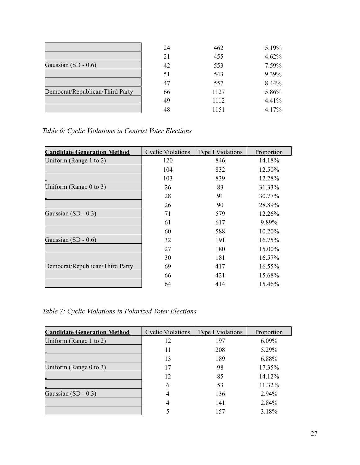|                                 | 24 | 462  | 5.19% |
|---------------------------------|----|------|-------|
|                                 | 21 | 455  | 4.62% |
| Gaussian $(SD - 0.6)$           | 42 | 553  | 7.59% |
|                                 | 51 | 543  | 9.39% |
|                                 | 47 | 557  | 8.44% |
| Democrat/Republican/Third Party | 66 | 1127 | 5.86% |
|                                 | 49 | 1112 | 4.41% |
|                                 | 48 | 1151 | 4.17% |

*Table 6: Cyclic Violations in Centrist Voter Elections*

| <b>Candidate Generation Method</b> | <b>Cyclic Violations</b> | <b>Type I Violations</b> | Proportion |
|------------------------------------|--------------------------|--------------------------|------------|
| Uniform (Range 1 to 2)             | 120                      | 846                      | 14.18%     |
|                                    | 104                      | 832                      | 12.50%     |
|                                    | 103                      | 839                      | 12.28%     |
| Uniform (Range $0$ to $3$ )        | 26                       | 83                       | 31.33%     |
|                                    | 28                       | 91                       | 30.77%     |
|                                    | 26                       | 90                       | 28.89%     |
| Gaussian (SD - 0.3)                | 71                       | 579                      | $12.26\%$  |
|                                    | 61                       | 617                      | 9.89%      |
|                                    | 60                       | 588                      | 10.20%     |
| Gaussian $(SD - 0.6)$              | 32                       | 191                      | $16.75\%$  |
|                                    | 27                       | 180                      | 15.00%     |
|                                    | 30                       | 181                      | 16.57%     |
| Democrat/Republican/Third Party    | 69                       | 417                      | 16.55%     |
|                                    | 66                       | 421                      | 15.68%     |
|                                    | 64                       | 414                      | 15.46%     |

*Table 7: Cyclic Violations in Polarized Voter Elections*

| <b>Candidate Generation Method</b> | <b>Cyclic Violations</b> | <b>Type I Violations</b> | Proportion |
|------------------------------------|--------------------------|--------------------------|------------|
| Uniform (Range 1 to 2)             | 12                       | 197                      | $6.09\%$   |
|                                    | 11                       | 208                      | 5.29%      |
|                                    | 13                       | 189                      | 6.88%      |
| Uniform (Range 0 to 3)             | 17                       | 98                       | 17.35%     |
|                                    | 12                       | 85                       | 14.12%     |
|                                    | 6                        | 53                       | 11.32%     |
| Gaussian $(SD - 0.3)$              | 4                        | 136                      | 2.94%      |
|                                    | 4                        | 141                      | 2.84%      |
|                                    |                          | 157                      | 3.18%      |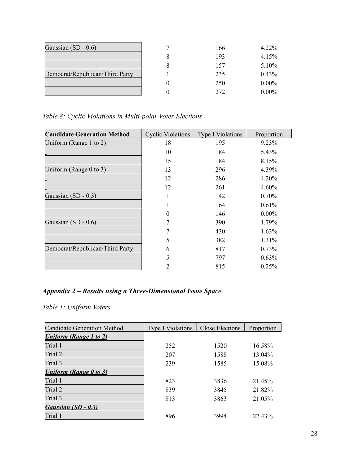| Gaussian $(SD - 0.6)$           | 166 | $4.22\%$ |
|---------------------------------|-----|----------|
|                                 | 193 | 4.15%    |
|                                 | 157 | 5.10%    |
| Democrat/Republican/Third Party | 235 | 0.43%    |
|                                 | 250 | $0.00\%$ |
|                                 | 272 | $0.00\%$ |

*Table 8: Cyclic Violations in Multi-polar Voter Elections*

| <b>Candidate Generation Method</b> | <b>Cyclic Violations</b> | <b>Type I Violations</b> | Proportion |
|------------------------------------|--------------------------|--------------------------|------------|
| Uniform (Range 1 to 2)             | 18                       | 195                      | 9.23%      |
|                                    | 10                       | 184                      | 5.43%      |
|                                    | 15                       | 184                      | 8.15%      |
| Uniform (Range $0$ to 3)           | 13                       | 296                      | 4.39%      |
|                                    | 12                       | 286                      | 4.20%      |
|                                    | 12                       | 261                      | 4.60%      |
| Gaussian (SD - 0.3)                |                          | 142                      | 0.70%      |
|                                    |                          | 164                      | 0.61%      |
|                                    | 0                        | 146                      | $0.00\%$   |
| Gaussian (SD - 0.6)                |                          | 390                      | 1.79%      |
|                                    |                          | 430                      | 1.63%      |
|                                    | 5                        | 382                      | 1.31%      |
| Democrat/Republican/Third Party    | 6                        | 817                      | 0.73%      |
|                                    | 5                        | 797                      | $0.63\%$   |
|                                    | 2                        | 815                      | 0.25%      |

# *Appendix 2 – Results using a Three-Dimensional Issue Space*

*Table 1: Uniform Voters*

| Candidate Generation Method   | <b>Type I Violations</b> | Close Elections | Proportion |
|-------------------------------|--------------------------|-----------------|------------|
| <b>Uniform (Range 1 to 2)</b> |                          |                 |            |
| Trial 1                       | 252                      | 1520            | 16.58%     |
| Trial 2                       | 207                      | 1588            | 13.04%     |
| Trial 3                       | 239                      | 1585            | 15.08%     |
| <b>Uniform (Range 0 to 3)</b> |                          |                 |            |
| Trial 1                       | 823                      | 3836            | 21.45%     |
| Trial 2                       | 839                      | 3845            | 21.82%     |
| Trial 3                       | 813                      | 3863            | 21.05%     |
| Gaussian (SD - 0.3)           |                          |                 |            |
| Trial 1                       | 896                      | 3994            | 22.43%     |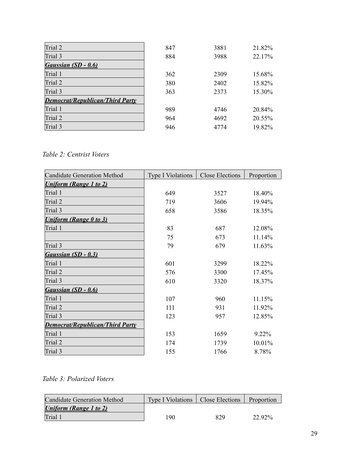| Trial 2                                | 847 | 3881 | 21.82% |
|----------------------------------------|-----|------|--------|
| Trial 3                                | 884 | 3988 | 22.17% |
| Gaussian (SD - 0.6)                    |     |      |        |
| Trial 1                                | 362 | 2309 | 15.68% |
| Trial 2                                | 380 | 2402 | 15.82% |
| Trial 3                                | 363 | 2373 | 15.30% |
| <b>Democrat/Republican/Third Party</b> |     |      |        |
| Trial 1                                | 989 | 4746 | 20.84% |
| Trial 2                                | 964 | 4692 | 20.55% |
| Trial 3                                | 946 | 4774 | 19.82% |

*Table 2: Centrist Voters*

| <b>Candidate Generation Method</b>     | <b>Type I Violations</b> | <b>Close Elections</b> | Proportion |
|----------------------------------------|--------------------------|------------------------|------------|
| <b>Uniform (Range 1 to 2)</b>          |                          |                        |            |
| Trial 1                                | 649                      | 3527                   | 18.40%     |
| Trial 2                                | 719                      | 3606                   | 19.94%     |
| Trial 3                                | 658                      | 3586                   | 18.35%     |
| <b>Uniform (Range 0 to 3)</b>          |                          |                        |            |
| Trial 1                                | 83                       | 687                    | 12.08%     |
|                                        | 75                       | 673                    | 11.14%     |
| Trial 3                                | 79                       | 679                    | 11.63%     |
| Gaussian (SD - 0.3)                    |                          |                        |            |
| Trial 1                                | 601                      | 3299                   | 18.22%     |
| Trial 2                                | 576                      | 3300                   | 17.45%     |
| Trial 3                                | 610                      | 3320                   | 18.37%     |
| Gaussian (SD - 0.6)                    |                          |                        |            |
| Trial 1                                | 107                      | 960                    | 11.15%     |
| Trial 2                                | 111                      | 931                    | 11.92%     |
| Trial 3                                | 123                      | 957                    | 12.85%     |
| <b>Democrat/Republican/Third Party</b> |                          |                        |            |
| Trial 1                                | 153                      | 1659                   | 9.22%      |
| Trial 2                                | 174                      | 1739                   | 10.01%     |
| Trial 3                                | 155                      | 1766                   | 8.78%      |

# *Table 3: Polarized Voters*

| <b>Candidate Generation Method</b> | <b>Type I Violations</b> | <b>Close Elections</b> | Proportion |
|------------------------------------|--------------------------|------------------------|------------|
| Uniform (Range 1 to 2)             |                          |                        |            |
| Trial 1                            | 190                      | 829                    | 22.92%     |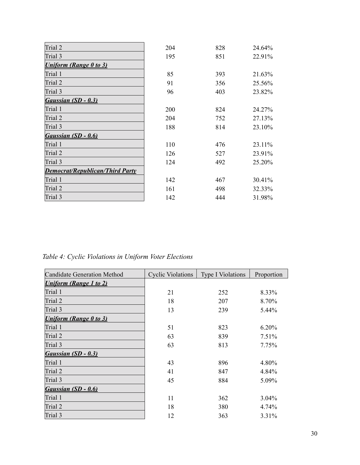| Trial 2                                | 204 | 828 | 24.64%    |
|----------------------------------------|-----|-----|-----------|
| Trial 3                                | 195 | 851 | 22.91%    |
| <b>Uniform (Range 0 to 3)</b>          |     |     |           |
| Trial 1                                | 85  | 393 | 21.63%    |
| Trial 2                                | 91  | 356 | 25.56%    |
| Trial 3                                | 96  | 403 | 23.82%    |
| Gaussian (SD - 0.3)                    |     |     |           |
| Trial 1                                | 200 | 824 | 24.27%    |
| Trial 2                                | 204 | 752 | 27.13%    |
| Trial 3                                | 188 | 814 | 23.10%    |
| Gaussian (SD - 0.6)                    |     |     |           |
| Trial 1                                | 110 | 476 | 23.11%    |
| Trial 2                                | 126 | 527 | 23.91%    |
| Trial 3                                | 124 | 492 | $25.20\%$ |
| <b>Democrat/Republican/Third Party</b> |     |     |           |
| Trial 1                                | 142 | 467 | 30.41%    |
| Trial 2                                | 161 | 498 | 32.33%    |
| Trial 3                                | 142 | 444 | 31.98%    |

*Table 4: Cyclic Violations in Uniform Voter Elections*

| <b>Candidate Generation Method</b> | <b>Cyclic Violations</b> | <b>Type I Violations</b> | Proportion |
|------------------------------------|--------------------------|--------------------------|------------|
| <b>Uniform (Range 1 to 2)</b>      |                          |                          |            |
| Trial 1                            | 21                       | 252                      | 8.33%      |
| Trial 2                            | 18                       | 207                      | 8.70%      |
| Trial 3                            | 13                       | 239                      | 5.44%      |
| <b>Uniform (Range 0 to 3)</b>      |                          |                          |            |
| Trial 1                            | 51                       | 823                      | 6.20%      |
| Trial 2                            | 63                       | 839                      | 7.51%      |
| Trial 3                            | 63                       | 813                      | 7.75%      |
| Gaussian (SD - 0.3)                |                          |                          |            |
| Trial 1                            | 43                       | 896                      | 4.80%      |
| Trial 2                            | 41                       | 847                      | 4.84%      |
| Trial 3                            | 45                       | 884                      | 5.09%      |
| Gaussian (SD - 0.6)                |                          |                          |            |
| Trial 1                            | 11                       | 362                      | 3.04%      |
| Trial 2                            | 18                       | 380                      | 4.74%      |
| Trial 3                            | 12                       | 363                      | 3.31%      |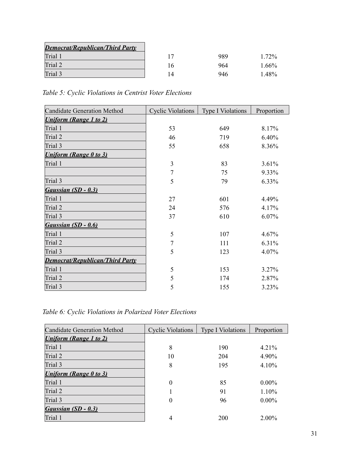| <b>Democrat/Republican/Third Party</b> |     |     |          |
|----------------------------------------|-----|-----|----------|
| Trial 1                                |     | 989 | 1.72%    |
| Trial 2                                | i 6 | 964 | $1.66\%$ |
| Trial 3                                | l 4 | 946 | $.48\%$  |

*Table 5: Cyclic Violations in Centrist Voter Elections*

| <b>Candidate Generation Method</b>     | <b>Cyclic Violations</b> | <b>Type I Violations</b> | Proportion |
|----------------------------------------|--------------------------|--------------------------|------------|
| <b>Uniform (Range 1 to 2)</b>          |                          |                          |            |
| Trial 1                                | 53                       | 649                      | 8.17%      |
| Trial 2                                | 46                       | 719                      | 6.40%      |
| Trial 3                                | 55                       | 658                      | 8.36%      |
| <b>Uniform (Range 0 to 3)</b>          |                          |                          |            |
| Trial 1                                | $\overline{3}$           | 83                       | 3.61%      |
|                                        | 7                        | 75                       | 9.33%      |
| Trial 3                                | 5                        | 79                       | 6.33%      |
| Gaussian (SD - 0.3)                    |                          |                          |            |
| Trial 1                                | 27                       | 601                      | 4.49%      |
| Trial 2                                | 24                       | 576                      | 4.17%      |
| Trial 3                                | 37                       | 610                      | 6.07%      |
| Gaussian (SD - 0.6)                    |                          |                          |            |
| Trial 1                                | 5                        | 107                      | 4.67%      |
| Trial 2                                | 7                        | 111                      | 6.31%      |
| Trial 3                                | 5                        | 123                      | 4.07%      |
| <b>Democrat/Republican/Third Party</b> |                          |                          |            |
| Trial 1                                | 5                        | 153                      | 3.27%      |
| Trial 2                                | 5                        | 174                      | 2.87%      |
| Trial 3                                | 5                        | 155                      | 3.23%      |

*Table 6: Cyclic Violations in Polarized Voter Elections*

| Candidate Generation Method   | Cyclic Violations | <b>Type I Violations</b> | Proportion |
|-------------------------------|-------------------|--------------------------|------------|
| <b>Uniform (Range 1 to 2)</b> |                   |                          |            |
| Trial 1                       | 8                 | 190                      | 4.21%      |
| Trial 2                       | 10                | 204                      | 4.90%      |
| Trial 3                       | 8                 | 195                      | 4.10%      |
| <b>Uniform (Range 0 to 3)</b> |                   |                          |            |
| Trial 1                       | 0                 | 85                       | $0.00\%$   |
| Trial 2                       |                   | 91                       | 1.10%      |
| Trial 3                       | $\theta$          | 96                       | $0.00\%$   |
| Gaussian (SD - 0.3)           |                   |                          |            |
| Trial 1                       | 4                 | 200                      | $2.00\%$   |